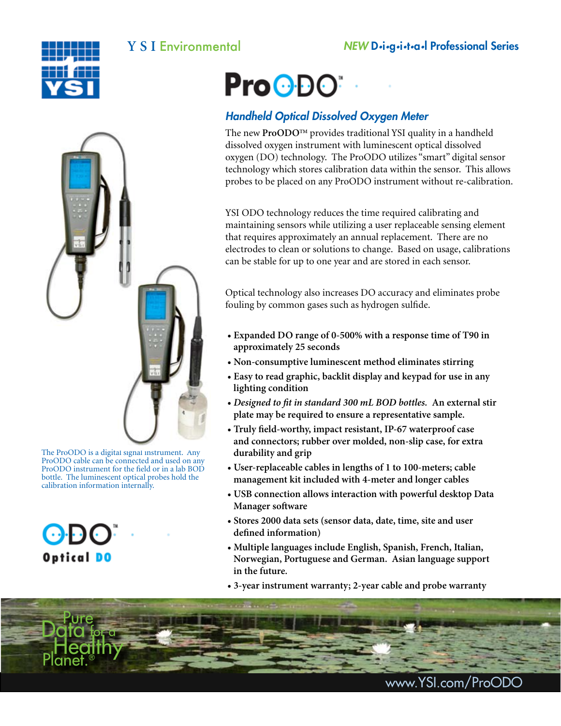





The ProODO is a digital signal instrument. Any ProODO cable can be connected and used on any ProODO instrument for the field or in a lab BOD bottle. The luminescent optical probes hold the calibration information internally.



# **ProODO**

## *Handheld Optical Dissolved Oxygen Meter*

The new ProODO<sup>™</sup> provides traditional YSI quality in a handheld dissolved oxygen instrument with luminescent optical dissolved oxygen (DO) technology. The ProODO utilizes "smart" digital sensor technology which stores calibration data within the sensor. This allows probes to be placed on any ProODO instrument without re-calibration.

YSI ODO technology reduces the time required calibrating and maintaining sensors while utilizing a user replaceable sensing element that requires approximately an annual replacement. There are no electrodes to clean or solutions to change. Based on usage, calibrations can be stable for up to one year and are stored in each sensor.

Optical technology also increases DO accuracy and eliminates probe fouling by common gases such as hydrogen sulfide.

- **Expanded DO range of 0-500% with a response time of T90 in approximately 25 seconds**
- **Non-consumptive luminescent method eliminates stirring**
- **Easy to read graphic, backlit display and keypad for use in any lighting condition**
- *Designed to fit in standard 300 mL BOD bottles.* **An external stir plate may be required to ensure a representative sample.**
- **Truly field-worthy, impact resistant, IP-67 waterproof case and connectors; rubber over molded, non-slip case, for extra durability and grip**
- **User-replaceable cables in lengths of 1 to 100-meters; cable management kit included with 4-meter and longer cables**
- **USB connection allows interaction with powerful desktop Data Manager software**
- **Stores 2000 data sets (sensor data, date, time, site and user defined information)**
- **Multiple languages include English, Spanish, French, Italian, Norwegian, Portuguese and German. Asian language support in the future.**
- **3-year instrument warranty; 2-year cable and probe warranty**